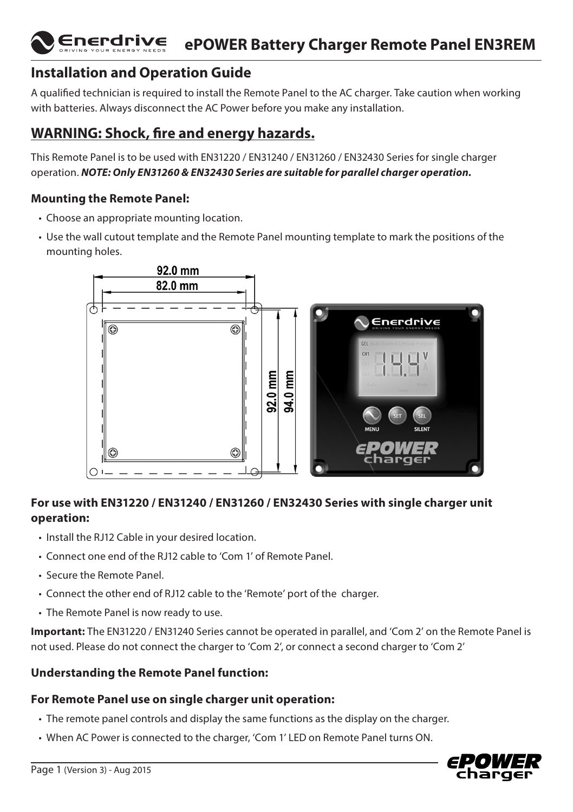#### Enerdrive **ePOWER Battery Charger Remote Panel EN3REM**

# **Installation and Operation Guide**

A qualified technician is required to install the Remote Panel to the AC charger. Take caution when working with batteries. Always disconnect the AC Power before you make any installation.

## **WARNING: Shock, fire and energy hazards.**

This Remote Panel is to be used with EN31220 / EN31240 / EN31260 / EN32430 Series for single charger operation. *NOTE: Only EN31260 & EN32430 Series are suitable for parallel charger operation.*

### **Mounting the Remote Panel:**

- Choose an appropriate mounting location.
- Use the wall cutout template and the Remote Panel mounting template to mark the positions of the mounting holes.



## **For use with EN31220 / EN31240 / EN31260 / EN32430 Series with single charger unit operation:**

- Install the RJ12 Cable in your desired location.
- Connect one end of the RJ12 cable to 'Com 1' of Remote Panel.
- Secure the Remote Panel.
- Connect the other end of RJ12 cable to the 'Remote' port of the charger.
- The Remote Panel is now ready to use.

**Important:** The EN31220 / EN31240 Series cannot be operated in parallel, and 'Com 2' on the Remote Panel is not used. Please do not connect the charger to 'Com 2', or connect a second charger to 'Com 2'

### **Understanding the Remote Panel function:**

### **For Remote Panel use on single charger unit operation:**

- The remote panel controls and display the same functions as the display on the charger.
- When AC Power is connected to the charger, 'Com 1' LED on Remote Panel turns ON.